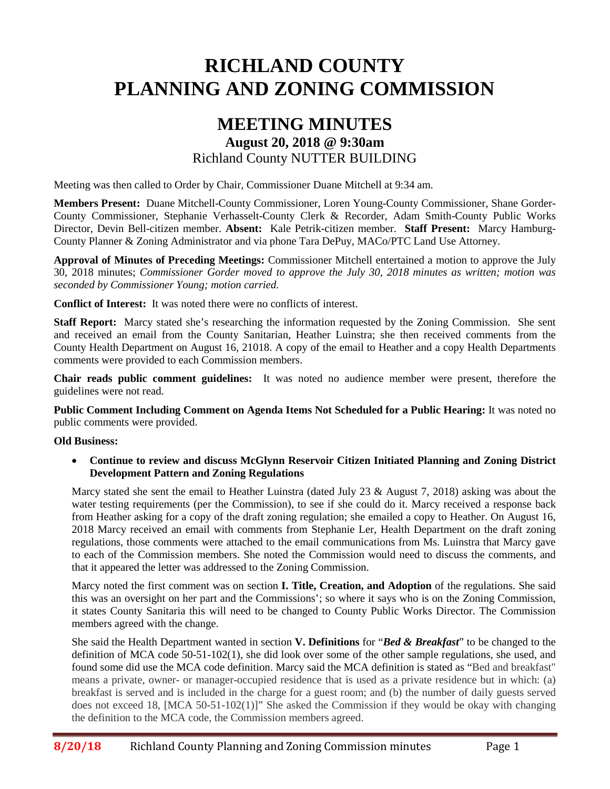# **RICHLAND COUNTY PLANNING AND ZONING COMMISSION**

# **MEETING MINUTES August 20, 2018 @ 9:30am** Richland County NUTTER BUILDING

Meeting was then called to Order by Chair, Commissioner Duane Mitchell at 9:34 am.

**Members Present:** Duane Mitchell-County Commissioner, Loren Young-County Commissioner, Shane Gorder-County Commissioner, Stephanie Verhasselt-County Clerk & Recorder, Adam Smith-County Public Works Director, Devin Bell-citizen member. **Absent:** Kale Petrik-citizen member. **Staff Present:** Marcy Hamburg-County Planner & Zoning Administrator and via phone Tara DePuy, MACo/PTC Land Use Attorney.

**Approval of Minutes of Preceding Meetings:** Commissioner Mitchell entertained a motion to approve the July 30, 2018 minutes; *Commissioner Gorder moved to approve the July 30, 2018 minutes as written; motion was seconded by Commissioner Young; motion carried.*

**Conflict of Interest:** It was noted there were no conflicts of interest.

**Staff Report:** Marcy stated she's researching the information requested by the Zoning Commission. She sent and received an email from the County Sanitarian, Heather Luinstra; she then received comments from the County Health Department on August 16, 21018. A copy of the email to Heather and a copy Health Departments comments were provided to each Commission members.

**Chair reads public comment guidelines:** It was noted no audience member were present, therefore the guidelines were not read.

**Public Comment Including Comment on Agenda Items Not Scheduled for a Public Hearing:** It was noted no public comments were provided.

#### **Old Business:**

• **Continue to review and discuss McGlynn Reservoir Citizen Initiated Planning and Zoning District Development Pattern and Zoning Regulations**

Marcy stated she sent the email to Heather Luinstra (dated July 23 & August 7, 2018) asking was about the water testing requirements (per the Commission), to see if she could do it. Marcy received a response back from Heather asking for a copy of the draft zoning regulation; she emailed a copy to Heather. On August 16, 2018 Marcy received an email with comments from Stephanie Ler, Health Department on the draft zoning regulations, those comments were attached to the email communications from Ms. Luinstra that Marcy gave to each of the Commission members. She noted the Commission would need to discuss the comments, and that it appeared the letter was addressed to the Zoning Commission.

Marcy noted the first comment was on section **I. Title, Creation, and Adoption** of the regulations. She said this was an oversight on her part and the Commissions'; so where it says who is on the Zoning Commission, it states County Sanitaria this will need to be changed to County Public Works Director. The Commission members agreed with the change.

She said the Health Department wanted in section **V. Definitions** for "*Bed & Breakfast*" to be changed to the definition of MCA code 50-51-102(1), she did look over some of the other sample regulations, she used, and found some did use the MCA code definition. Marcy said the MCA definition is stated as "Bed and breakfast" means a private, owner- or manager-occupied residence that is used as a private residence but in which: (a) breakfast is served and is included in the charge for a guest room; and (b) the number of daily guests served does not exceed 18, [MCA 50-51-102(1)]" She asked the Commission if they would be okay with changing the definition to the MCA code, the Commission members agreed.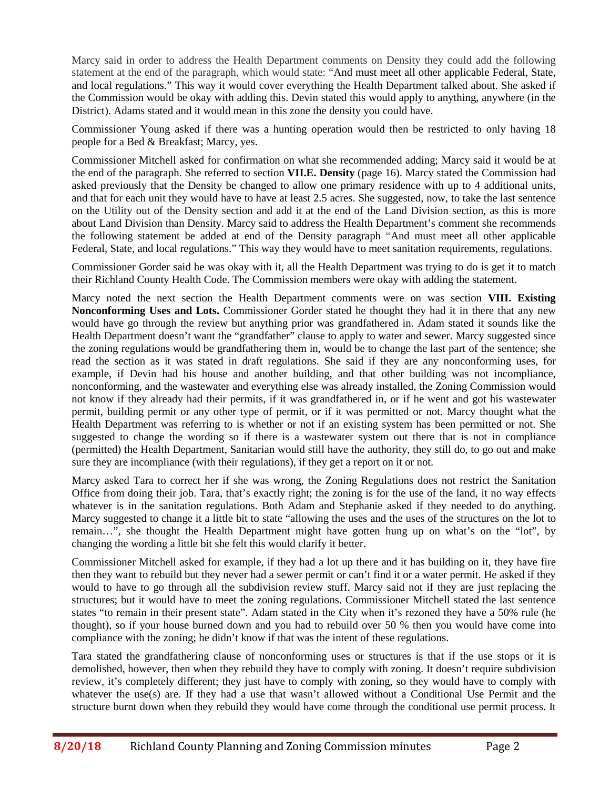Marcy said in order to address the Health Department comments on Density they could add the following statement at the end of the paragraph, which would state: "And must meet all other applicable Federal, State, and local regulations." This way it would cover everything the Health Department talked about. She asked if the Commission would be okay with adding this. Devin stated this would apply to anything, anywhere (in the District). Adams stated and it would mean in this zone the density you could have.

Commissioner Young asked if there was a hunting operation would then be restricted to only having 18 people for a Bed & Breakfast; Marcy, yes.

Commissioner Mitchell asked for confirmation on what she recommended adding; Marcy said it would be at the end of the paragraph. She referred to section **VII.E. Density** (page 16). Marcy stated the Commission had asked previously that the Density be changed to allow one primary residence with up to 4 additional units, and that for each unit they would have to have at least 2.5 acres. She suggested, now, to take the last sentence on the Utility out of the Density section and add it at the end of the Land Division section, as this is more about Land Division than Density. Marcy said to address the Health Department's comment she recommends the following statement be added at end of the Density paragraph "And must meet all other applicable Federal, State, and local regulations." This way they would have to meet sanitation requirements, regulations.

Commissioner Gorder said he was okay with it, all the Health Department was trying to do is get it to match their Richland County Health Code. The Commission members were okay with adding the statement.

Marcy noted the next section the Health Department comments were on was section **VIII. Existing Nonconforming Uses and Lots.** Commissioner Gorder stated he thought they had it in there that any new would have go through the review but anything prior was grandfathered in. Adam stated it sounds like the Health Department doesn't want the "grandfather" clause to apply to water and sewer. Marcy suggested since the zoning regulations would be grandfathering them in, would be to change the last part of the sentence; she read the section as it was stated in draft regulations. She said if they are any nonconforming uses, for example, if Devin had his house and another building, and that other building was not incompliance, nonconforming, and the wastewater and everything else was already installed, the Zoning Commission would not know if they already had their permits, if it was grandfathered in, or if he went and got his wastewater permit, building permit or any other type of permit, or if it was permitted or not. Marcy thought what the Health Department was referring to is whether or not if an existing system has been permitted or not. She suggested to change the wording so if there is a wastewater system out there that is not in compliance (permitted) the Health Department, Sanitarian would still have the authority, they still do, to go out and make sure they are incompliance (with their regulations), if they get a report on it or not.

Marcy asked Tara to correct her if she was wrong, the Zoning Regulations does not restrict the Sanitation Office from doing their job. Tara, that's exactly right; the zoning is for the use of the land, it no way effects whatever is in the sanitation regulations. Both Adam and Stephanie asked if they needed to do anything. Marcy suggested to change it a little bit to state "allowing the uses and the uses of the structures on the lot to remain…", she thought the Health Department might have gotten hung up on what's on the "lot", by changing the wording a little bit she felt this would clarify it better.

Commissioner Mitchell asked for example, if they had a lot up there and it has building on it, they have fire then they want to rebuild but they never had a sewer permit or can't find it or a water permit. He asked if they would to have to go through all the subdivision review stuff. Marcy said not if they are just replacing the structures; but it would have to meet the zoning regulations. Commissioner Mitchell stated the last sentence states "to remain in their present state". Adam stated in the City when it's rezoned they have a 50% rule (he thought), so if your house burned down and you had to rebuild over 50 % then you would have come into compliance with the zoning; he didn't know if that was the intent of these regulations.

Tara stated the grandfathering clause of nonconforming uses or structures is that if the use stops or it is demolished, however, then when they rebuild they have to comply with zoning. It doesn't require subdivision review, it's completely different; they just have to comply with zoning, so they would have to comply with whatever the use(s) are. If they had a use that wasn't allowed without a Conditional Use Permit and the structure burnt down when they rebuild they would have come through the conditional use permit process. It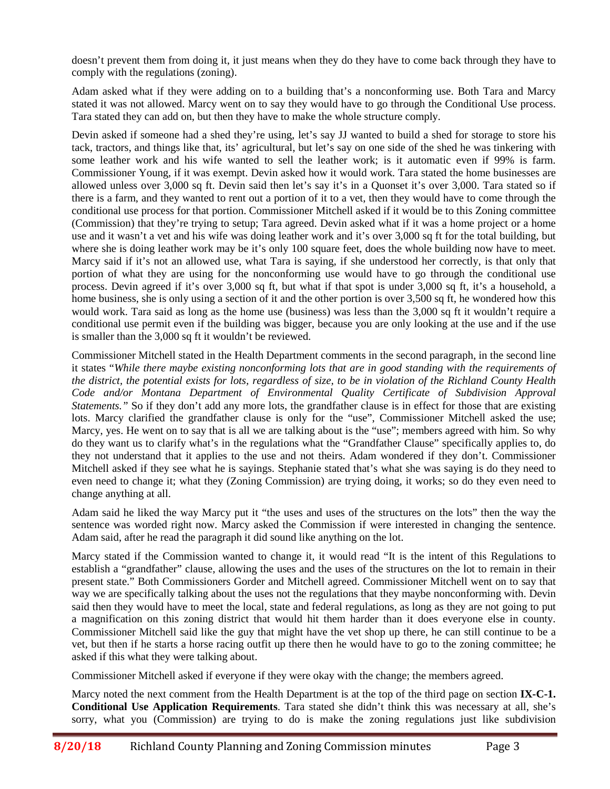doesn't prevent them from doing it, it just means when they do they have to come back through they have to comply with the regulations (zoning).

Adam asked what if they were adding on to a building that's a nonconforming use. Both Tara and Marcy stated it was not allowed. Marcy went on to say they would have to go through the Conditional Use process. Tara stated they can add on, but then they have to make the whole structure comply.

Devin asked if someone had a shed they're using, let's say JJ wanted to build a shed for storage to store his tack, tractors, and things like that, its' agricultural, but let's say on one side of the shed he was tinkering with some leather work and his wife wanted to sell the leather work; is it automatic even if 99% is farm. Commissioner Young, if it was exempt. Devin asked how it would work. Tara stated the home businesses are allowed unless over 3,000 sq ft. Devin said then let's say it's in a Quonset it's over 3,000. Tara stated so if there is a farm, and they wanted to rent out a portion of it to a vet, then they would have to come through the conditional use process for that portion. Commissioner Mitchell asked if it would be to this Zoning committee (Commission) that they're trying to setup; Tara agreed. Devin asked what if it was a home project or a home use and it wasn't a vet and his wife was doing leather work and it's over 3,000 sq ft for the total building, but where she is doing leather work may be it's only 100 square feet, does the whole building now have to meet. Marcy said if it's not an allowed use, what Tara is saying, if she understood her correctly, is that only that portion of what they are using for the nonconforming use would have to go through the conditional use process. Devin agreed if it's over 3,000 sq ft, but what if that spot is under 3,000 sq ft, it's a household, a home business, she is only using a section of it and the other portion is over 3,500 sq ft, he wondered how this would work. Tara said as long as the home use (business) was less than the 3,000 sq ft it wouldn't require a conditional use permit even if the building was bigger, because you are only looking at the use and if the use is smaller than the 3,000 sq ft it wouldn't be reviewed.

Commissioner Mitchell stated in the Health Department comments in the second paragraph, in the second line it states "*While there maybe existing nonconforming lots that are in good standing with the requirements of the district, the potential exists for lots, regardless of size, to be in violation of the Richland County Health Code and/or Montana Department of Environmental Quality Certificate of Subdivision Approval Statements.*" So if they don't add any more lots, the grandfather clause is in effect for those that are existing lots. Marcy clarified the grandfather clause is only for the "use", Commissioner Mitchell asked the use; Marcy, yes. He went on to say that is all we are talking about is the "use"; members agreed with him. So why do they want us to clarify what's in the regulations what the "Grandfather Clause" specifically applies to, do they not understand that it applies to the use and not theirs. Adam wondered if they don't. Commissioner Mitchell asked if they see what he is sayings. Stephanie stated that's what she was saying is do they need to even need to change it; what they (Zoning Commission) are trying doing, it works; so do they even need to change anything at all.

Adam said he liked the way Marcy put it "the uses and uses of the structures on the lots" then the way the sentence was worded right now. Marcy asked the Commission if were interested in changing the sentence. Adam said, after he read the paragraph it did sound like anything on the lot.

Marcy stated if the Commission wanted to change it, it would read "It is the intent of this Regulations to establish a "grandfather" clause, allowing the uses and the uses of the structures on the lot to remain in their present state." Both Commissioners Gorder and Mitchell agreed. Commissioner Mitchell went on to say that way we are specifically talking about the uses not the regulations that they maybe nonconforming with. Devin said then they would have to meet the local, state and federal regulations, as long as they are not going to put a magnification on this zoning district that would hit them harder than it does everyone else in county. Commissioner Mitchell said like the guy that might have the vet shop up there, he can still continue to be a vet, but then if he starts a horse racing outfit up there then he would have to go to the zoning committee; he asked if this what they were talking about.

Commissioner Mitchell asked if everyone if they were okay with the change; the members agreed.

Marcy noted the next comment from the Health Department is at the top of the third page on section **IX-C-1. Conditional Use Application Requirements**. Tara stated she didn't think this was necessary at all, she's sorry, what you (Commission) are trying to do is make the zoning regulations just like subdivision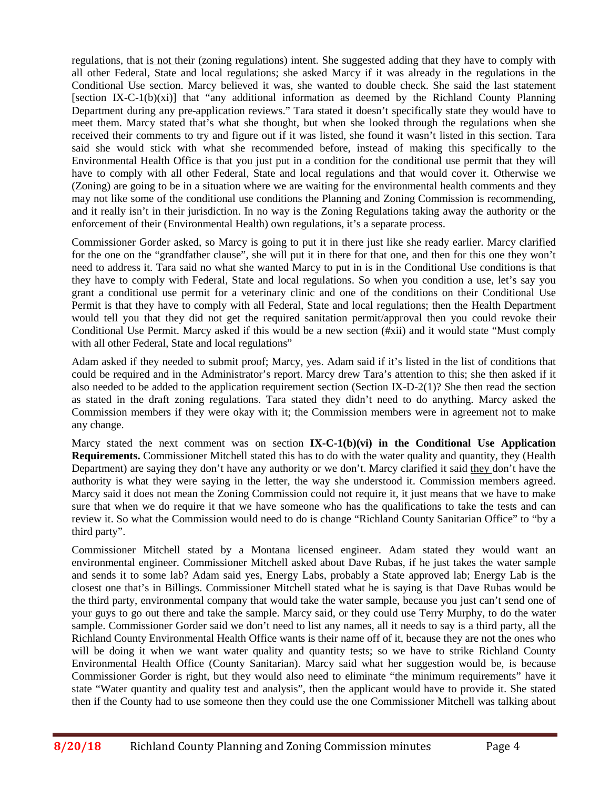regulations, that is not their (zoning regulations) intent. She suggested adding that they have to comply with all other Federal, State and local regulations; she asked Marcy if it was already in the regulations in the Conditional Use section. Marcy believed it was, she wanted to double check. She said the last statement [section IX-C-1(b)(xi)] that "any additional information as deemed by the Richland County Planning Department during any pre-application reviews." Tara stated it doesn't specifically state they would have to meet them. Marcy stated that's what she thought, but when she looked through the regulations when she received their comments to try and figure out if it was listed, she found it wasn't listed in this section. Tara said she would stick with what she recommended before, instead of making this specifically to the Environmental Health Office is that you just put in a condition for the conditional use permit that they will have to comply with all other Federal, State and local regulations and that would cover it. Otherwise we (Zoning) are going to be in a situation where we are waiting for the environmental health comments and they may not like some of the conditional use conditions the Planning and Zoning Commission is recommending, and it really isn't in their jurisdiction. In no way is the Zoning Regulations taking away the authority or the enforcement of their (Environmental Health) own regulations, it's a separate process.

Commissioner Gorder asked, so Marcy is going to put it in there just like she ready earlier. Marcy clarified for the one on the "grandfather clause", she will put it in there for that one, and then for this one they won't need to address it. Tara said no what she wanted Marcy to put in is in the Conditional Use conditions is that they have to comply with Federal, State and local regulations. So when you condition a use, let's say you grant a conditional use permit for a veterinary clinic and one of the conditions on their Conditional Use Permit is that they have to comply with all Federal, State and local regulations; then the Health Department would tell you that they did not get the required sanitation permit/approval then you could revoke their Conditional Use Permit. Marcy asked if this would be a new section (#xii) and it would state "Must comply with all other Federal, State and local regulations"

Adam asked if they needed to submit proof; Marcy, yes. Adam said if it's listed in the list of conditions that could be required and in the Administrator's report. Marcy drew Tara's attention to this; she then asked if it also needed to be added to the application requirement section (Section IX-D-2(1)? She then read the section as stated in the draft zoning regulations. Tara stated they didn't need to do anything. Marcy asked the Commission members if they were okay with it; the Commission members were in agreement not to make any change.

Marcy stated the next comment was on section **IX-C-1(b)(vi) in the Conditional Use Application Requirements.** Commissioner Mitchell stated this has to do with the water quality and quantity, they (Health Department) are saying they don't have any authority or we don't. Marcy clarified it said they don't have the authority is what they were saying in the letter, the way she understood it. Commission members agreed. Marcy said it does not mean the Zoning Commission could not require it, it just means that we have to make sure that when we do require it that we have someone who has the qualifications to take the tests and can review it. So what the Commission would need to do is change "Richland County Sanitarian Office" to "by a third party".

Commissioner Mitchell stated by a Montana licensed engineer. Adam stated they would want an environmental engineer. Commissioner Mitchell asked about Dave Rubas, if he just takes the water sample and sends it to some lab? Adam said yes, Energy Labs, probably a State approved lab; Energy Lab is the closest one that's in Billings. Commissioner Mitchell stated what he is saying is that Dave Rubas would be the third party, environmental company that would take the water sample, because you just can't send one of your guys to go out there and take the sample. Marcy said, or they could use Terry Murphy, to do the water sample. Commissioner Gorder said we don't need to list any names, all it needs to say is a third party, all the Richland County Environmental Health Office wants is their name off of it, because they are not the ones who will be doing it when we want water quality and quantity tests; so we have to strike Richland County Environmental Health Office (County Sanitarian). Marcy said what her suggestion would be, is because Commissioner Gorder is right, but they would also need to eliminate "the minimum requirements" have it state "Water quantity and quality test and analysis", then the applicant would have to provide it. She stated then if the County had to use someone then they could use the one Commissioner Mitchell was talking about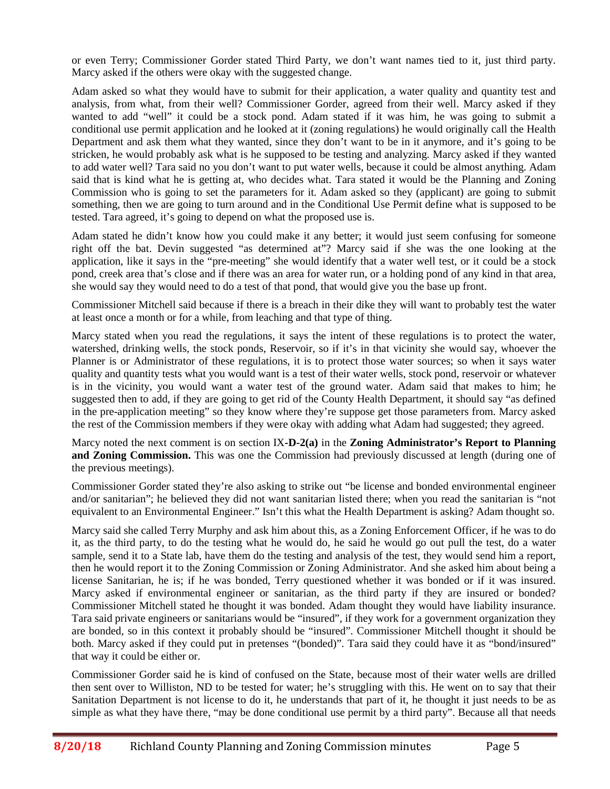or even Terry; Commissioner Gorder stated Third Party, we don't want names tied to it, just third party. Marcy asked if the others were okay with the suggested change.

Adam asked so what they would have to submit for their application, a water quality and quantity test and analysis, from what, from their well? Commissioner Gorder, agreed from their well. Marcy asked if they wanted to add "well" it could be a stock pond. Adam stated if it was him, he was going to submit a conditional use permit application and he looked at it (zoning regulations) he would originally call the Health Department and ask them what they wanted, since they don't want to be in it anymore, and it's going to be stricken, he would probably ask what is he supposed to be testing and analyzing. Marcy asked if they wanted to add water well? Tara said no you don't want to put water wells, because it could be almost anything. Adam said that is kind what he is getting at, who decides what. Tara stated it would be the Planning and Zoning Commission who is going to set the parameters for it. Adam asked so they (applicant) are going to submit something, then we are going to turn around and in the Conditional Use Permit define what is supposed to be tested. Tara agreed, it's going to depend on what the proposed use is.

Adam stated he didn't know how you could make it any better; it would just seem confusing for someone right off the bat. Devin suggested "as determined at"? Marcy said if she was the one looking at the application, like it says in the "pre-meeting" she would identify that a water well test, or it could be a stock pond, creek area that's close and if there was an area for water run, or a holding pond of any kind in that area, she would say they would need to do a test of that pond, that would give you the base up front.

Commissioner Mitchell said because if there is a breach in their dike they will want to probably test the water at least once a month or for a while, from leaching and that type of thing.

Marcy stated when you read the regulations, it says the intent of these regulations is to protect the water, watershed, drinking wells, the stock ponds, Reservoir, so if it's in that vicinity she would say, whoever the Planner is or Administrator of these regulations, it is to protect those water sources; so when it says water quality and quantity tests what you would want is a test of their water wells, stock pond, reservoir or whatever is in the vicinity, you would want a water test of the ground water. Adam said that makes to him; he suggested then to add, if they are going to get rid of the County Health Department, it should say "as defined in the pre-application meeting" so they know where they're suppose get those parameters from. Marcy asked the rest of the Commission members if they were okay with adding what Adam had suggested; they agreed.

Marcy noted the next comment is on section IX**-D-2(a)** in the **Zoning Administrator's Report to Planning and Zoning Commission.** This was one the Commission had previously discussed at length (during one of the previous meetings).

Commissioner Gorder stated they're also asking to strike out "be license and bonded environmental engineer and/or sanitarian"; he believed they did not want sanitarian listed there; when you read the sanitarian is "not equivalent to an Environmental Engineer." Isn't this what the Health Department is asking? Adam thought so.

Marcy said she called Terry Murphy and ask him about this, as a Zoning Enforcement Officer, if he was to do it, as the third party, to do the testing what he would do, he said he would go out pull the test, do a water sample, send it to a State lab, have them do the testing and analysis of the test, they would send him a report, then he would report it to the Zoning Commission or Zoning Administrator. And she asked him about being a license Sanitarian, he is; if he was bonded, Terry questioned whether it was bonded or if it was insured. Marcy asked if environmental engineer or sanitarian, as the third party if they are insured or bonded? Commissioner Mitchell stated he thought it was bonded. Adam thought they would have liability insurance. Tara said private engineers or sanitarians would be "insured", if they work for a government organization they are bonded, so in this context it probably should be "insured". Commissioner Mitchell thought it should be both. Marcy asked if they could put in pretenses "(bonded)". Tara said they could have it as "bond/insured" that way it could be either or.

Commissioner Gorder said he is kind of confused on the State, because most of their water wells are drilled then sent over to Williston, ND to be tested for water; he's struggling with this. He went on to say that their Sanitation Department is not license to do it, he understands that part of it, he thought it just needs to be as simple as what they have there, "may be done conditional use permit by a third party". Because all that needs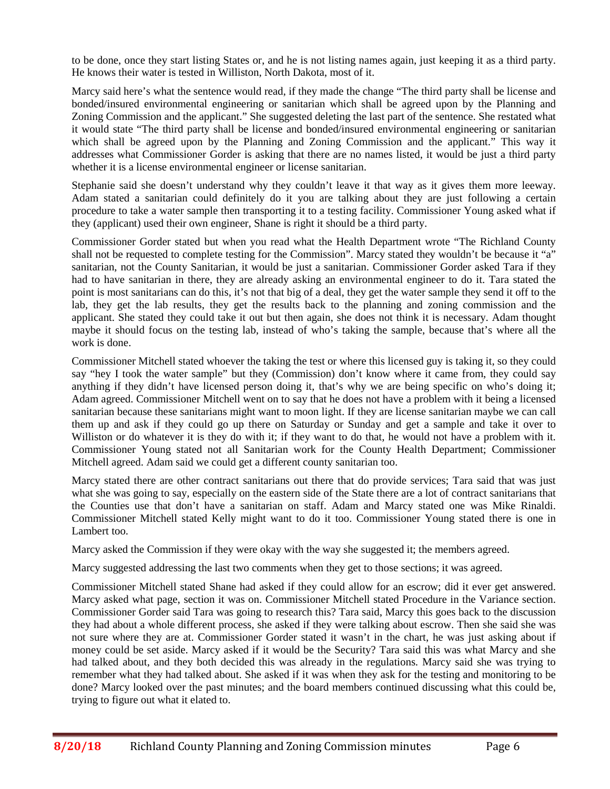to be done, once they start listing States or, and he is not listing names again, just keeping it as a third party. He knows their water is tested in Williston, North Dakota, most of it.

Marcy said here's what the sentence would read, if they made the change "The third party shall be license and bonded/insured environmental engineering or sanitarian which shall be agreed upon by the Planning and Zoning Commission and the applicant." She suggested deleting the last part of the sentence. She restated what it would state "The third party shall be license and bonded/insured environmental engineering or sanitarian which shall be agreed upon by the Planning and Zoning Commission and the applicant." This way it addresses what Commissioner Gorder is asking that there are no names listed, it would be just a third party whether it is a license environmental engineer or license sanitarian.

Stephanie said she doesn't understand why they couldn't leave it that way as it gives them more leeway. Adam stated a sanitarian could definitely do it you are talking about they are just following a certain procedure to take a water sample then transporting it to a testing facility. Commissioner Young asked what if they (applicant) used their own engineer, Shane is right it should be a third party.

Commissioner Gorder stated but when you read what the Health Department wrote "The Richland County shall not be requested to complete testing for the Commission". Marcy stated they wouldn't be because it "a" sanitarian, not the County Sanitarian, it would be just a sanitarian. Commissioner Gorder asked Tara if they had to have sanitarian in there, they are already asking an environmental engineer to do it. Tara stated the point is most sanitarians can do this, it's not that big of a deal, they get the water sample they send it off to the lab, they get the lab results, they get the results back to the planning and zoning commission and the applicant. She stated they could take it out but then again, she does not think it is necessary. Adam thought maybe it should focus on the testing lab, instead of who's taking the sample, because that's where all the work is done.

Commissioner Mitchell stated whoever the taking the test or where this licensed guy is taking it, so they could say "hey I took the water sample" but they (Commission) don't know where it came from, they could say anything if they didn't have licensed person doing it, that's why we are being specific on who's doing it; Adam agreed. Commissioner Mitchell went on to say that he does not have a problem with it being a licensed sanitarian because these sanitarians might want to moon light. If they are license sanitarian maybe we can call them up and ask if they could go up there on Saturday or Sunday and get a sample and take it over to Williston or do whatever it is they do with it; if they want to do that, he would not have a problem with it. Commissioner Young stated not all Sanitarian work for the County Health Department; Commissioner Mitchell agreed. Adam said we could get a different county sanitarian too.

Marcy stated there are other contract sanitarians out there that do provide services; Tara said that was just what she was going to say, especially on the eastern side of the State there are a lot of contract sanitarians that the Counties use that don't have a sanitarian on staff. Adam and Marcy stated one was Mike Rinaldi. Commissioner Mitchell stated Kelly might want to do it too. Commissioner Young stated there is one in Lambert too.

Marcy asked the Commission if they were okay with the way she suggested it; the members agreed.

Marcy suggested addressing the last two comments when they get to those sections; it was agreed.

Commissioner Mitchell stated Shane had asked if they could allow for an escrow; did it ever get answered. Marcy asked what page, section it was on. Commissioner Mitchell stated Procedure in the Variance section. Commissioner Gorder said Tara was going to research this? Tara said, Marcy this goes back to the discussion they had about a whole different process, she asked if they were talking about escrow. Then she said she was not sure where they are at. Commissioner Gorder stated it wasn't in the chart, he was just asking about if money could be set aside. Marcy asked if it would be the Security? Tara said this was what Marcy and she had talked about, and they both decided this was already in the regulations. Marcy said she was trying to remember what they had talked about. She asked if it was when they ask for the testing and monitoring to be done? Marcy looked over the past minutes; and the board members continued discussing what this could be, trying to figure out what it elated to.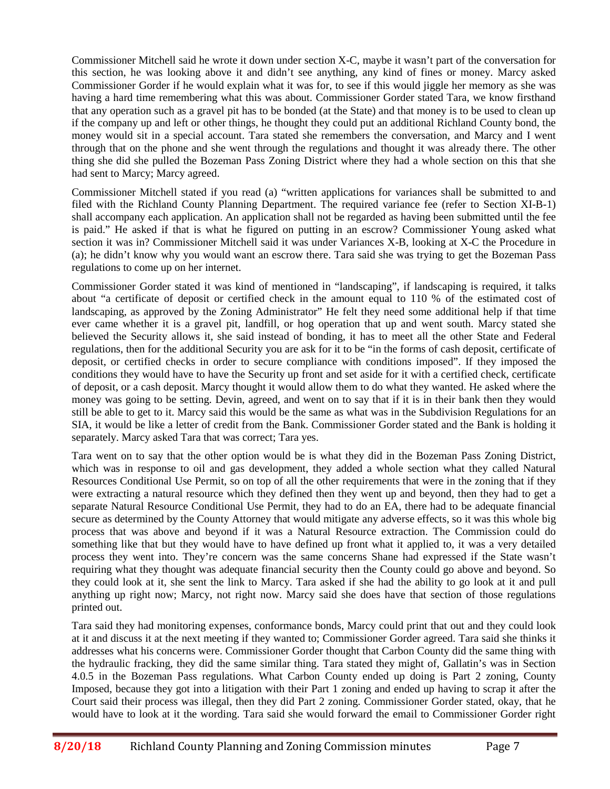Commissioner Mitchell said he wrote it down under section X-C, maybe it wasn't part of the conversation for this section, he was looking above it and didn't see anything, any kind of fines or money. Marcy asked Commissioner Gorder if he would explain what it was for, to see if this would jiggle her memory as she was having a hard time remembering what this was about. Commissioner Gorder stated Tara, we know firsthand that any operation such as a gravel pit has to be bonded (at the State) and that money is to be used to clean up if the company up and left or other things, he thought they could put an additional Richland County bond, the money would sit in a special account. Tara stated she remembers the conversation, and Marcy and I went through that on the phone and she went through the regulations and thought it was already there. The other thing she did she pulled the Bozeman Pass Zoning District where they had a whole section on this that she had sent to Marcy; Marcy agreed.

Commissioner Mitchell stated if you read (a) "written applications for variances shall be submitted to and filed with the Richland County Planning Department. The required variance fee (refer to Section XI-B-1) shall accompany each application. An application shall not be regarded as having been submitted until the fee is paid." He asked if that is what he figured on putting in an escrow? Commissioner Young asked what section it was in? Commissioner Mitchell said it was under Variances X-B, looking at X-C the Procedure in (a); he didn't know why you would want an escrow there. Tara said she was trying to get the Bozeman Pass regulations to come up on her internet.

Commissioner Gorder stated it was kind of mentioned in "landscaping", if landscaping is required, it talks about "a certificate of deposit or certified check in the amount equal to 110 % of the estimated cost of landscaping, as approved by the Zoning Administrator" He felt they need some additional help if that time ever came whether it is a gravel pit, landfill, or hog operation that up and went south. Marcy stated she believed the Security allows it, she said instead of bonding, it has to meet all the other State and Federal regulations, then for the additional Security you are ask for it to be "in the forms of cash deposit, certificate of deposit, or certified checks in order to secure compliance with conditions imposed". If they imposed the conditions they would have to have the Security up front and set aside for it with a certified check, certificate of deposit, or a cash deposit. Marcy thought it would allow them to do what they wanted. He asked where the money was going to be setting. Devin, agreed, and went on to say that if it is in their bank then they would still be able to get to it. Marcy said this would be the same as what was in the Subdivision Regulations for an SIA, it would be like a letter of credit from the Bank. Commissioner Gorder stated and the Bank is holding it separately. Marcy asked Tara that was correct; Tara yes.

Tara went on to say that the other option would be is what they did in the Bozeman Pass Zoning District, which was in response to oil and gas development, they added a whole section what they called Natural Resources Conditional Use Permit, so on top of all the other requirements that were in the zoning that if they were extracting a natural resource which they defined then they went up and beyond, then they had to get a separate Natural Resource Conditional Use Permit, they had to do an EA, there had to be adequate financial secure as determined by the County Attorney that would mitigate any adverse effects, so it was this whole big process that was above and beyond if it was a Natural Resource extraction. The Commission could do something like that but they would have to have defined up front what it applied to, it was a very detailed process they went into. They're concern was the same concerns Shane had expressed if the State wasn't requiring what they thought was adequate financial security then the County could go above and beyond. So they could look at it, she sent the link to Marcy. Tara asked if she had the ability to go look at it and pull anything up right now; Marcy, not right now. Marcy said she does have that section of those regulations printed out.

Tara said they had monitoring expenses, conformance bonds, Marcy could print that out and they could look at it and discuss it at the next meeting if they wanted to; Commissioner Gorder agreed. Tara said she thinks it addresses what his concerns were. Commissioner Gorder thought that Carbon County did the same thing with the hydraulic fracking, they did the same similar thing. Tara stated they might of, Gallatin's was in Section 4.0.5 in the Bozeman Pass regulations. What Carbon County ended up doing is Part 2 zoning, County Imposed, because they got into a litigation with their Part 1 zoning and ended up having to scrap it after the Court said their process was illegal, then they did Part 2 zoning. Commissioner Gorder stated, okay, that he would have to look at it the wording. Tara said she would forward the email to Commissioner Gorder right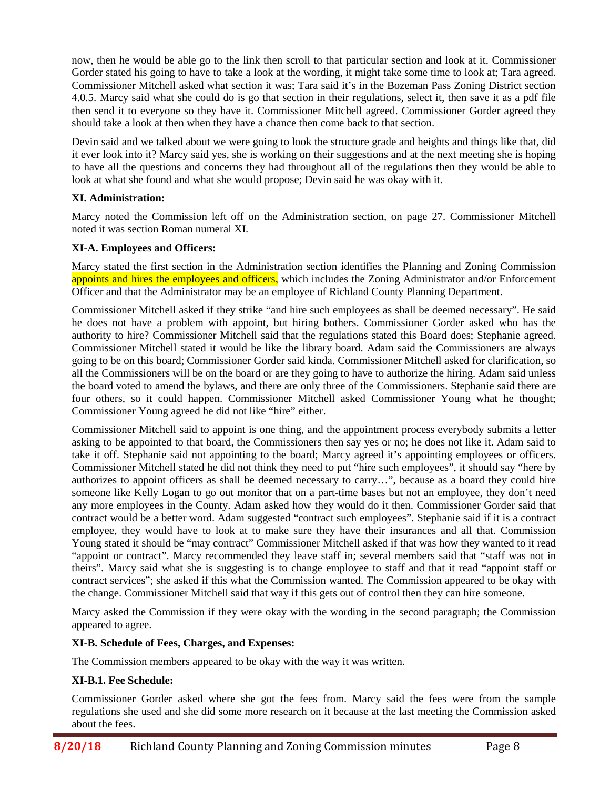now, then he would be able go to the link then scroll to that particular section and look at it. Commissioner Gorder stated his going to have to take a look at the wording, it might take some time to look at; Tara agreed. Commissioner Mitchell asked what section it was; Tara said it's in the Bozeman Pass Zoning District section 4.0.5. Marcy said what she could do is go that section in their regulations, select it, then save it as a pdf file then send it to everyone so they have it. Commissioner Mitchell agreed. Commissioner Gorder agreed they should take a look at then when they have a chance then come back to that section.

Devin said and we talked about we were going to look the structure grade and heights and things like that, did it ever look into it? Marcy said yes, she is working on their suggestions and at the next meeting she is hoping to have all the questions and concerns they had throughout all of the regulations then they would be able to look at what she found and what she would propose; Devin said he was okay with it.

# **XI. Administration:**

Marcy noted the Commission left off on the Administration section, on page 27. Commissioner Mitchell noted it was section Roman numeral XI.

# **XI-A. Employees and Officers:**

Marcy stated the first section in the Administration section identifies the Planning and Zoning Commission appoints and hires the employees and officers, which includes the Zoning Administrator and/or Enforcement Officer and that the Administrator may be an employee of Richland County Planning Department.

Commissioner Mitchell asked if they strike "and hire such employees as shall be deemed necessary". He said he does not have a problem with appoint, but hiring bothers. Commissioner Gorder asked who has the authority to hire? Commissioner Mitchell said that the regulations stated this Board does; Stephanie agreed. Commissioner Mitchell stated it would be like the library board. Adam said the Commissioners are always going to be on this board; Commissioner Gorder said kinda. Commissioner Mitchell asked for clarification, so all the Commissioners will be on the board or are they going to have to authorize the hiring. Adam said unless the board voted to amend the bylaws, and there are only three of the Commissioners. Stephanie said there are four others, so it could happen. Commissioner Mitchell asked Commissioner Young what he thought; Commissioner Young agreed he did not like "hire" either.

Commissioner Mitchell said to appoint is one thing, and the appointment process everybody submits a letter asking to be appointed to that board, the Commissioners then say yes or no; he does not like it. Adam said to take it off. Stephanie said not appointing to the board; Marcy agreed it's appointing employees or officers. Commissioner Mitchell stated he did not think they need to put "hire such employees", it should say "here by authorizes to appoint officers as shall be deemed necessary to carry…", because as a board they could hire someone like Kelly Logan to go out monitor that on a part-time bases but not an employee, they don't need any more employees in the County. Adam asked how they would do it then. Commissioner Gorder said that contract would be a better word. Adam suggested "contract such employees". Stephanie said if it is a contract employee, they would have to look at to make sure they have their insurances and all that. Commission Young stated it should be "may contract" Commissioner Mitchell asked if that was how they wanted to it read "appoint or contract". Marcy recommended they leave staff in; several members said that "staff was not in theirs". Marcy said what she is suggesting is to change employee to staff and that it read "appoint staff or contract services"; she asked if this what the Commission wanted. The Commission appeared to be okay with the change. Commissioner Mitchell said that way if this gets out of control then they can hire someone.

Marcy asked the Commission if they were okay with the wording in the second paragraph; the Commission appeared to agree.

# **XI-B. Schedule of Fees, Charges, and Expenses:**

The Commission members appeared to be okay with the way it was written.

# **XI-B.1. Fee Schedule:**

Commissioner Gorder asked where she got the fees from. Marcy said the fees were from the sample regulations she used and she did some more research on it because at the last meeting the Commission asked about the fees.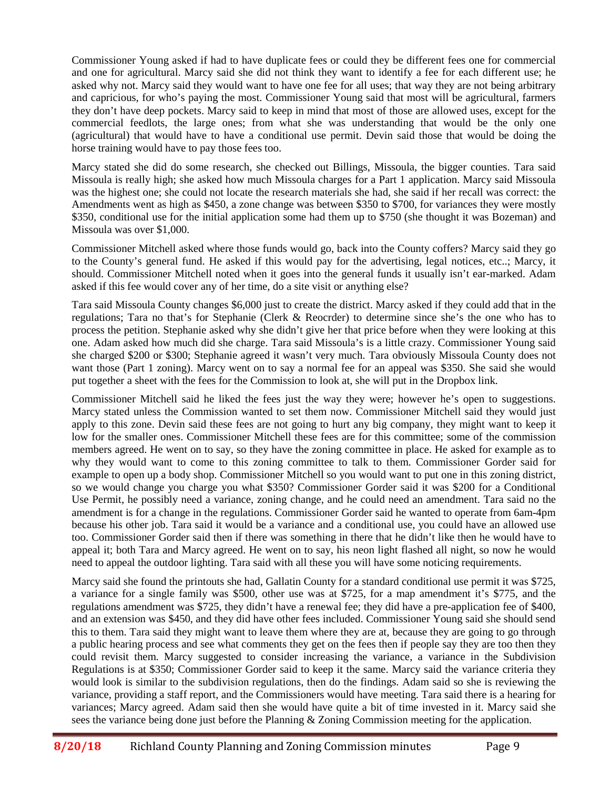Commissioner Young asked if had to have duplicate fees or could they be different fees one for commercial and one for agricultural. Marcy said she did not think they want to identify a fee for each different use; he asked why not. Marcy said they would want to have one fee for all uses; that way they are not being arbitrary and capricious, for who's paying the most. Commissioner Young said that most will be agricultural, farmers they don't have deep pockets. Marcy said to keep in mind that most of those are allowed uses, except for the commercial feedlots, the large ones; from what she was understanding that would be the only one (agricultural) that would have to have a conditional use permit. Devin said those that would be doing the horse training would have to pay those fees too.

Marcy stated she did do some research, she checked out Billings, Missoula, the bigger counties. Tara said Missoula is really high; she asked how much Missoula charges for a Part 1 application. Marcy said Missoula was the highest one; she could not locate the research materials she had, she said if her recall was correct: the Amendments went as high as \$450, a zone change was between \$350 to \$700, for variances they were mostly \$350, conditional use for the initial application some had them up to \$750 (she thought it was Bozeman) and Missoula was over \$1,000.

Commissioner Mitchell asked where those funds would go, back into the County coffers? Marcy said they go to the County's general fund. He asked if this would pay for the advertising, legal notices, etc..; Marcy, it should. Commissioner Mitchell noted when it goes into the general funds it usually isn't ear-marked. Adam asked if this fee would cover any of her time, do a site visit or anything else?

Tara said Missoula County changes \$6,000 just to create the district. Marcy asked if they could add that in the regulations; Tara no that's for Stephanie (Clerk & Reocrder) to determine since she's the one who has to process the petition. Stephanie asked why she didn't give her that price before when they were looking at this one. Adam asked how much did she charge. Tara said Missoula's is a little crazy. Commissioner Young said she charged \$200 or \$300; Stephanie agreed it wasn't very much. Tara obviously Missoula County does not want those (Part 1 zoning). Marcy went on to say a normal fee for an appeal was \$350. She said she would put together a sheet with the fees for the Commission to look at, she will put in the Dropbox link.

Commissioner Mitchell said he liked the fees just the way they were; however he's open to suggestions. Marcy stated unless the Commission wanted to set them now. Commissioner Mitchell said they would just apply to this zone. Devin said these fees are not going to hurt any big company, they might want to keep it low for the smaller ones. Commissioner Mitchell these fees are for this committee; some of the commission members agreed. He went on to say, so they have the zoning committee in place. He asked for example as to why they would want to come to this zoning committee to talk to them. Commissioner Gorder said for example to open up a body shop. Commissioner Mitchell so you would want to put one in this zoning district, so we would change you charge you what \$350? Commissioner Gorder said it was \$200 for a Conditional Use Permit, he possibly need a variance, zoning change, and he could need an amendment. Tara said no the amendment is for a change in the regulations. Commissioner Gorder said he wanted to operate from 6am-4pm because his other job. Tara said it would be a variance and a conditional use, you could have an allowed use too. Commissioner Gorder said then if there was something in there that he didn't like then he would have to appeal it; both Tara and Marcy agreed. He went on to say, his neon light flashed all night, so now he would need to appeal the outdoor lighting. Tara said with all these you will have some noticing requirements.

Marcy said she found the printouts she had, Gallatin County for a standard conditional use permit it was \$725, a variance for a single family was \$500, other use was at \$725, for a map amendment it's \$775, and the regulations amendment was \$725, they didn't have a renewal fee; they did have a pre-application fee of \$400, and an extension was \$450, and they did have other fees included. Commissioner Young said she should send this to them. Tara said they might want to leave them where they are at, because they are going to go through a public hearing process and see what comments they get on the fees then if people say they are too then they could revisit them. Marcy suggested to consider increasing the variance, a variance in the Subdivision Regulations is at \$350; Commissioner Gorder said to keep it the same. Marcy said the variance criteria they would look is similar to the subdivision regulations, then do the findings. Adam said so she is reviewing the variance, providing a staff report, and the Commissioners would have meeting. Tara said there is a hearing for variances; Marcy agreed. Adam said then she would have quite a bit of time invested in it. Marcy said she sees the variance being done just before the Planning & Zoning Commission meeting for the application.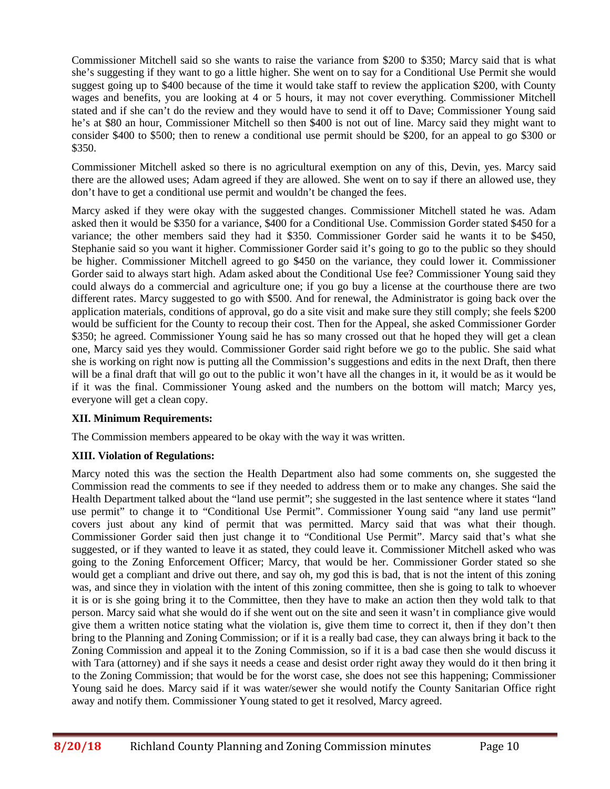Commissioner Mitchell said so she wants to raise the variance from \$200 to \$350; Marcy said that is what she's suggesting if they want to go a little higher. She went on to say for a Conditional Use Permit she would suggest going up to \$400 because of the time it would take staff to review the application \$200, with County wages and benefits, you are looking at 4 or 5 hours, it may not cover everything. Commissioner Mitchell stated and if she can't do the review and they would have to send it off to Dave; Commissioner Young said he's at \$80 an hour, Commissioner Mitchell so then \$400 is not out of line. Marcy said they might want to consider \$400 to \$500; then to renew a conditional use permit should be \$200, for an appeal to go \$300 or \$350.

Commissioner Mitchell asked so there is no agricultural exemption on any of this, Devin, yes. Marcy said there are the allowed uses; Adam agreed if they are allowed. She went on to say if there an allowed use, they don't have to get a conditional use permit and wouldn't be changed the fees.

Marcy asked if they were okay with the suggested changes. Commissioner Mitchell stated he was. Adam asked then it would be \$350 for a variance, \$400 for a Conditional Use. Commission Gorder stated \$450 for a variance; the other members said they had it \$350. Commissioner Gorder said he wants it to be \$450, Stephanie said so you want it higher. Commissioner Gorder said it's going to go to the public so they should be higher. Commissioner Mitchell agreed to go \$450 on the variance, they could lower it. Commissioner Gorder said to always start high. Adam asked about the Conditional Use fee? Commissioner Young said they could always do a commercial and agriculture one; if you go buy a license at the courthouse there are two different rates. Marcy suggested to go with \$500. And for renewal, the Administrator is going back over the application materials, conditions of approval, go do a site visit and make sure they still comply; she feels \$200 would be sufficient for the County to recoup their cost. Then for the Appeal, she asked Commissioner Gorder \$350; he agreed. Commissioner Young said he has so many crossed out that he hoped they will get a clean one, Marcy said yes they would. Commissioner Gorder said right before we go to the public. She said what she is working on right now is putting all the Commission's suggestions and edits in the next Draft, then there will be a final draft that will go out to the public it won't have all the changes in it, it would be as it would be if it was the final. Commissioner Young asked and the numbers on the bottom will match; Marcy yes, everyone will get a clean copy.

# **XII. Minimum Requirements:**

The Commission members appeared to be okay with the way it was written.

# **XIII. Violation of Regulations:**

Marcy noted this was the section the Health Department also had some comments on, she suggested the Commission read the comments to see if they needed to address them or to make any changes. She said the Health Department talked about the "land use permit"; she suggested in the last sentence where it states "land use permit" to change it to "Conditional Use Permit". Commissioner Young said "any land use permit" covers just about any kind of permit that was permitted. Marcy said that was what their though. Commissioner Gorder said then just change it to "Conditional Use Permit". Marcy said that's what she suggested, or if they wanted to leave it as stated, they could leave it. Commissioner Mitchell asked who was going to the Zoning Enforcement Officer; Marcy, that would be her. Commissioner Gorder stated so she would get a compliant and drive out there, and say oh, my god this is bad, that is not the intent of this zoning was, and since they in violation with the intent of this zoning committee, then she is going to talk to whoever it is or is she going bring it to the Committee, then they have to make an action then they wold talk to that person. Marcy said what she would do if she went out on the site and seen it wasn't in compliance give would give them a written notice stating what the violation is, give them time to correct it, then if they don't then bring to the Planning and Zoning Commission; or if it is a really bad case, they can always bring it back to the Zoning Commission and appeal it to the Zoning Commission, so if it is a bad case then she would discuss it with Tara (attorney) and if she says it needs a cease and desist order right away they would do it then bring it to the Zoning Commission; that would be for the worst case, she does not see this happening; Commissioner Young said he does. Marcy said if it was water/sewer she would notify the County Sanitarian Office right away and notify them. Commissioner Young stated to get it resolved, Marcy agreed.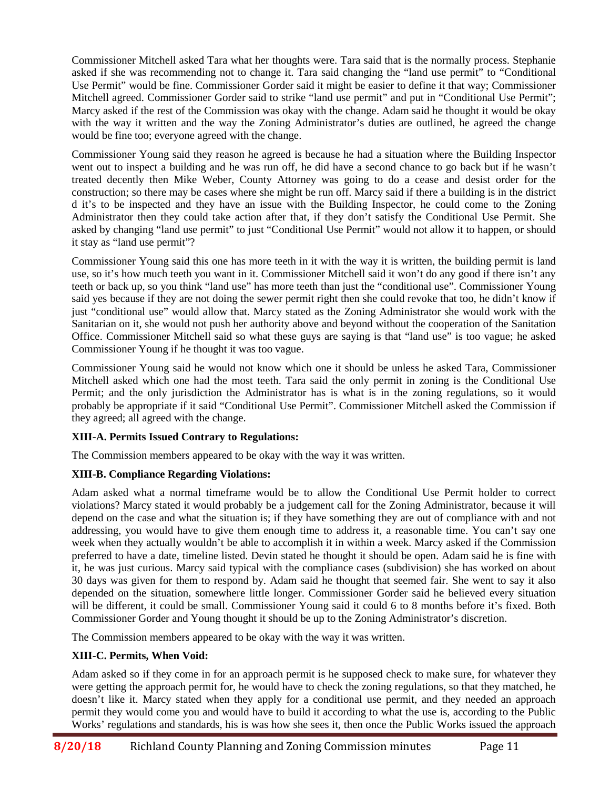Commissioner Mitchell asked Tara what her thoughts were. Tara said that is the normally process. Stephanie asked if she was recommending not to change it. Tara said changing the "land use permit" to "Conditional Use Permit" would be fine. Commissioner Gorder said it might be easier to define it that way; Commissioner Mitchell agreed. Commissioner Gorder said to strike "land use permit" and put in "Conditional Use Permit"; Marcy asked if the rest of the Commission was okay with the change. Adam said he thought it would be okay with the way it written and the way the Zoning Administrator's duties are outlined, he agreed the change would be fine too; everyone agreed with the change.

Commissioner Young said they reason he agreed is because he had a situation where the Building Inspector went out to inspect a building and he was run off, he did have a second chance to go back but if he wasn't treated decently then Mike Weber, County Attorney was going to do a cease and desist order for the construction; so there may be cases where she might be run off. Marcy said if there a building is in the district d it's to be inspected and they have an issue with the Building Inspector, he could come to the Zoning Administrator then they could take action after that, if they don't satisfy the Conditional Use Permit. She asked by changing "land use permit" to just "Conditional Use Permit" would not allow it to happen, or should it stay as "land use permit"?

Commissioner Young said this one has more teeth in it with the way it is written, the building permit is land use, so it's how much teeth you want in it. Commissioner Mitchell said it won't do any good if there isn't any teeth or back up, so you think "land use" has more teeth than just the "conditional use". Commissioner Young said yes because if they are not doing the sewer permit right then she could revoke that too, he didn't know if just "conditional use" would allow that. Marcy stated as the Zoning Administrator she would work with the Sanitarian on it, she would not push her authority above and beyond without the cooperation of the Sanitation Office. Commissioner Mitchell said so what these guys are saying is that "land use" is too vague; he asked Commissioner Young if he thought it was too vague.

Commissioner Young said he would not know which one it should be unless he asked Tara, Commissioner Mitchell asked which one had the most teeth. Tara said the only permit in zoning is the Conditional Use Permit; and the only jurisdiction the Administrator has is what is in the zoning regulations, so it would probably be appropriate if it said "Conditional Use Permit". Commissioner Mitchell asked the Commission if they agreed; all agreed with the change.

# **XIII-A. Permits Issued Contrary to Regulations:**

The Commission members appeared to be okay with the way it was written.

# **XIII-B. Compliance Regarding Violations:**

Adam asked what a normal timeframe would be to allow the Conditional Use Permit holder to correct violations? Marcy stated it would probably be a judgement call for the Zoning Administrator, because it will depend on the case and what the situation is; if they have something they are out of compliance with and not addressing, you would have to give them enough time to address it, a reasonable time. You can't say one week when they actually wouldn't be able to accomplish it in within a week. Marcy asked if the Commission preferred to have a date, timeline listed. Devin stated he thought it should be open. Adam said he is fine with it, he was just curious. Marcy said typical with the compliance cases (subdivision) she has worked on about 30 days was given for them to respond by. Adam said he thought that seemed fair. She went to say it also depended on the situation, somewhere little longer. Commissioner Gorder said he believed every situation will be different, it could be small. Commissioner Young said it could 6 to 8 months before it's fixed. Both Commissioner Gorder and Young thought it should be up to the Zoning Administrator's discretion.

The Commission members appeared to be okay with the way it was written.

# **XIII-C. Permits, When Void:**

Adam asked so if they come in for an approach permit is he supposed check to make sure, for whatever they were getting the approach permit for, he would have to check the zoning regulations, so that they matched, he doesn't like it. Marcy stated when they apply for a conditional use permit, and they needed an approach permit they would come you and would have to build it according to what the use is, according to the Public Works' regulations and standards, his is was how she sees it, then once the Public Works issued the approach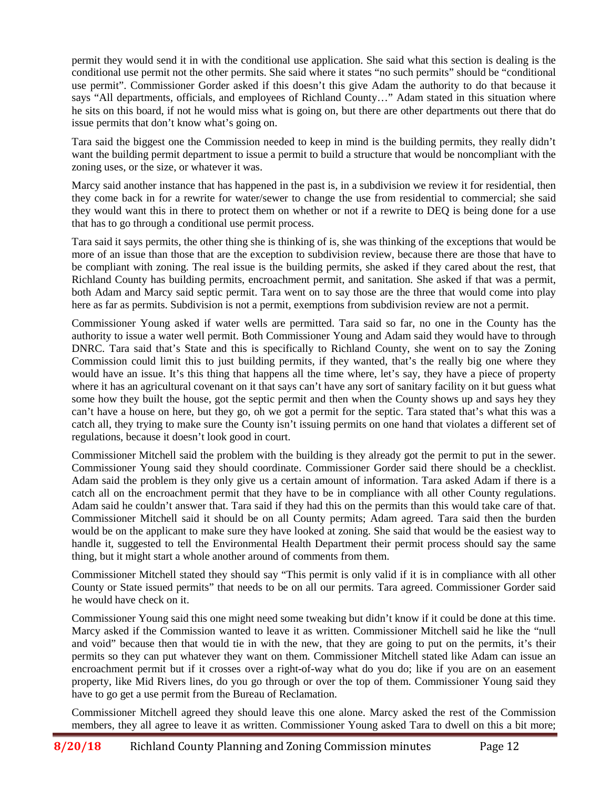permit they would send it in with the conditional use application. She said what this section is dealing is the conditional use permit not the other permits. She said where it states "no such permits" should be "conditional use permit". Commissioner Gorder asked if this doesn't this give Adam the authority to do that because it says "All departments, officials, and employees of Richland County..." Adam stated in this situation where he sits on this board, if not he would miss what is going on, but there are other departments out there that do issue permits that don't know what's going on.

Tara said the biggest one the Commission needed to keep in mind is the building permits, they really didn't want the building permit department to issue a permit to build a structure that would be noncompliant with the zoning uses, or the size, or whatever it was.

Marcy said another instance that has happened in the past is, in a subdivision we review it for residential, then they come back in for a rewrite for water/sewer to change the use from residential to commercial; she said they would want this in there to protect them on whether or not if a rewrite to DEQ is being done for a use that has to go through a conditional use permit process.

Tara said it says permits, the other thing she is thinking of is, she was thinking of the exceptions that would be more of an issue than those that are the exception to subdivision review, because there are those that have to be compliant with zoning. The real issue is the building permits, she asked if they cared about the rest, that Richland County has building permits, encroachment permit, and sanitation. She asked if that was a permit, both Adam and Marcy said septic permit. Tara went on to say those are the three that would come into play here as far as permits. Subdivision is not a permit, exemptions from subdivision review are not a permit.

Commissioner Young asked if water wells are permitted. Tara said so far, no one in the County has the authority to issue a water well permit. Both Commissioner Young and Adam said they would have to through DNRC. Tara said that's State and this is specifically to Richland County, she went on to say the Zoning Commission could limit this to just building permits, if they wanted, that's the really big one where they would have an issue. It's this thing that happens all the time where, let's say, they have a piece of property where it has an agricultural covenant on it that says can't have any sort of sanitary facility on it but guess what some how they built the house, got the septic permit and then when the County shows up and says hey they can't have a house on here, but they go, oh we got a permit for the septic. Tara stated that's what this was a catch all, they trying to make sure the County isn't issuing permits on one hand that violates a different set of regulations, because it doesn't look good in court.

Commissioner Mitchell said the problem with the building is they already got the permit to put in the sewer. Commissioner Young said they should coordinate. Commissioner Gorder said there should be a checklist. Adam said the problem is they only give us a certain amount of information. Tara asked Adam if there is a catch all on the encroachment permit that they have to be in compliance with all other County regulations. Adam said he couldn't answer that. Tara said if they had this on the permits than this would take care of that. Commissioner Mitchell said it should be on all County permits; Adam agreed. Tara said then the burden would be on the applicant to make sure they have looked at zoning. She said that would be the easiest way to handle it, suggested to tell the Environmental Health Department their permit process should say the same thing, but it might start a whole another around of comments from them.

Commissioner Mitchell stated they should say "This permit is only valid if it is in compliance with all other County or State issued permits" that needs to be on all our permits. Tara agreed. Commissioner Gorder said he would have check on it.

Commissioner Young said this one might need some tweaking but didn't know if it could be done at this time. Marcy asked if the Commission wanted to leave it as written. Commissioner Mitchell said he like the "null and void" because then that would tie in with the new, that they are going to put on the permits, it's their permits so they can put whatever they want on them. Commissioner Mitchell stated like Adam can issue an encroachment permit but if it crosses over a right-of-way what do you do; like if you are on an easement property, like Mid Rivers lines, do you go through or over the top of them. Commissioner Young said they have to go get a use permit from the Bureau of Reclamation.

Commissioner Mitchell agreed they should leave this one alone. Marcy asked the rest of the Commission members, they all agree to leave it as written. Commissioner Young asked Tara to dwell on this a bit more;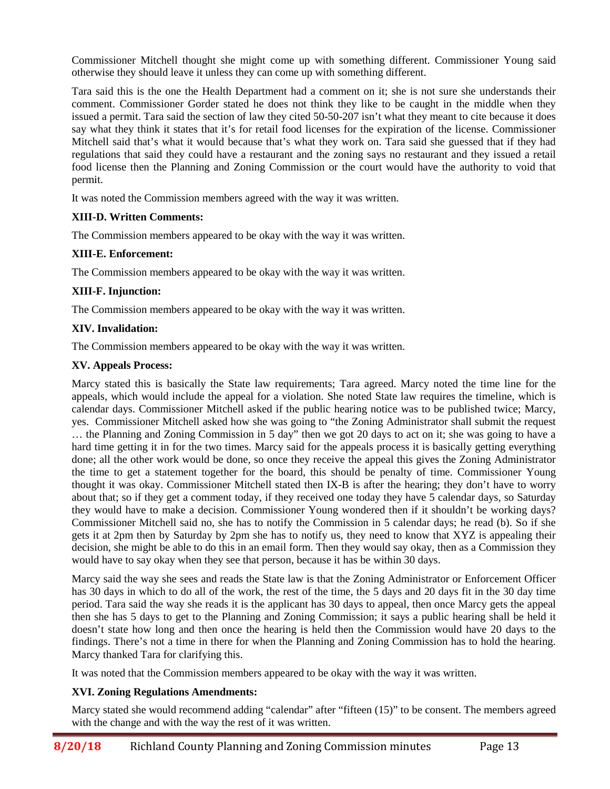Commissioner Mitchell thought she might come up with something different. Commissioner Young said otherwise they should leave it unless they can come up with something different.

Tara said this is the one the Health Department had a comment on it; she is not sure she understands their comment. Commissioner Gorder stated he does not think they like to be caught in the middle when they issued a permit. Tara said the section of law they cited 50-50-207 isn't what they meant to cite because it does say what they think it states that it's for retail food licenses for the expiration of the license. Commissioner Mitchell said that's what it would because that's what they work on. Tara said she guessed that if they had regulations that said they could have a restaurant and the zoning says no restaurant and they issued a retail food license then the Planning and Zoning Commission or the court would have the authority to void that permit.

It was noted the Commission members agreed with the way it was written.

# **XIII-D. Written Comments:**

The Commission members appeared to be okay with the way it was written.

# **XIII-E. Enforcement:**

The Commission members appeared to be okay with the way it was written.

# **XIII-F. Injunction:**

The Commission members appeared to be okay with the way it was written.

# **XIV. Invalidation:**

The Commission members appeared to be okay with the way it was written.

# **XV. Appeals Process:**

Marcy stated this is basically the State law requirements; Tara agreed. Marcy noted the time line for the appeals, which would include the appeal for a violation. She noted State law requires the timeline, which is calendar days. Commissioner Mitchell asked if the public hearing notice was to be published twice; Marcy, yes. Commissioner Mitchell asked how she was going to "the Zoning Administrator shall submit the request … the Planning and Zoning Commission in 5 day" then we got 20 days to act on it; she was going to have a hard time getting it in for the two times. Marcy said for the appeals process it is basically getting everything done; all the other work would be done, so once they receive the appeal this gives the Zoning Administrator the time to get a statement together for the board, this should be penalty of time. Commissioner Young thought it was okay. Commissioner Mitchell stated then IX-B is after the hearing; they don't have to worry about that; so if they get a comment today, if they received one today they have 5 calendar days, so Saturday they would have to make a decision. Commissioner Young wondered then if it shouldn't be working days? Commissioner Mitchell said no, she has to notify the Commission in 5 calendar days; he read (b). So if she gets it at 2pm then by Saturday by 2pm she has to notify us, they need to know that XYZ is appealing their decision, she might be able to do this in an email form. Then they would say okay, then as a Commission they would have to say okay when they see that person, because it has be within 30 days.

Marcy said the way she sees and reads the State law is that the Zoning Administrator or Enforcement Officer has 30 days in which to do all of the work, the rest of the time, the 5 days and 20 days fit in the 30 day time period. Tara said the way she reads it is the applicant has 30 days to appeal, then once Marcy gets the appeal then she has 5 days to get to the Planning and Zoning Commission; it says a public hearing shall be held it doesn't state how long and then once the hearing is held then the Commission would have 20 days to the findings. There's not a time in there for when the Planning and Zoning Commission has to hold the hearing. Marcy thanked Tara for clarifying this.

It was noted that the Commission members appeared to be okay with the way it was written.

# **XVI. Zoning Regulations Amendments:**

Marcy stated she would recommend adding "calendar" after "fifteen (15)" to be consent. The members agreed with the change and with the way the rest of it was written.